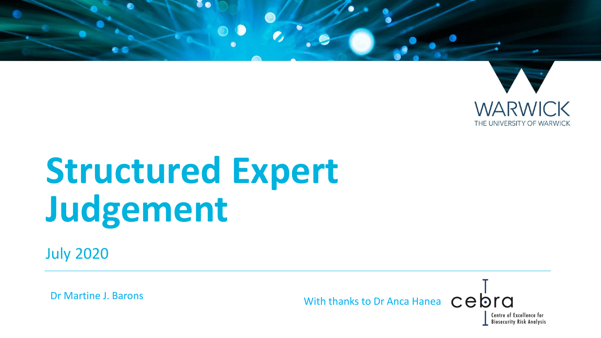

# **Structured Expert Judgement**

July 2020

Dr Martine J. Barons With thanks to Dr Anca Hanea cebra

> Centre of Excellence for **Biosecurity Risk Analysis**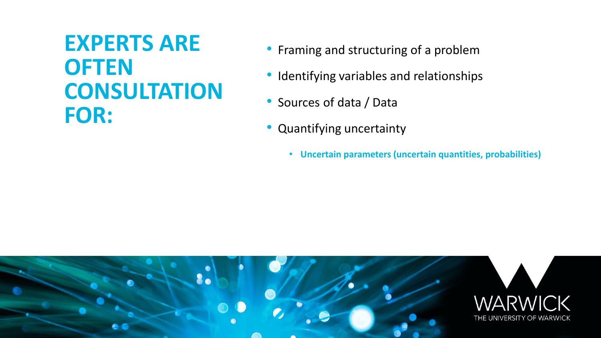# **EXPERTS ARE OFTEN CONSULTATION FOR:**

- Framing and structuring of a problem
- Identifying variables and relationships
- Sources of data / Data
- Quantifying uncertainty
	- **Uncertain parameters (uncertain quantities, probabilities)**

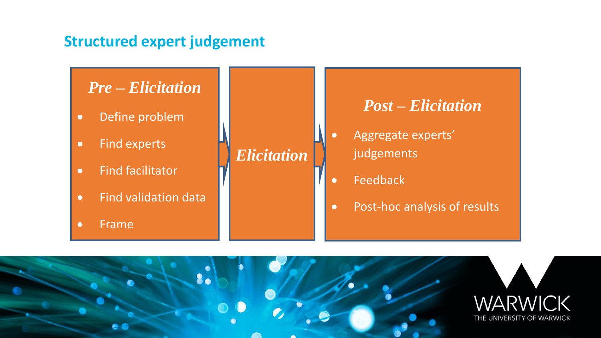#### **Structured expert judgement**

#### *Pre – Elicitation*

- Define problem
- Find experts
- Find facilitator
- Find validation data
- Frame

#### *Elicitation*

#### *Post – Elicitation*

- Aggregate experts' judgements
- Feedback
- Post-hoc analysis of results

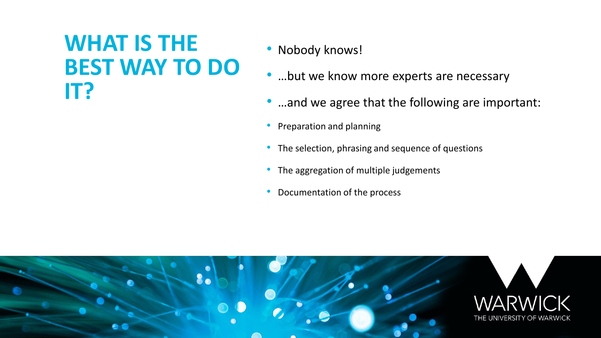### **WHAT IS THE BEST WAY TO DO IT?**

- Nobody knows!
- ...but we know more experts are necessary
- ...and we agree that the following are important:
- Preparation and planning
- The selection, phrasing and sequence of questions
- The aggregation of multiple judgements
- Documentation of the process

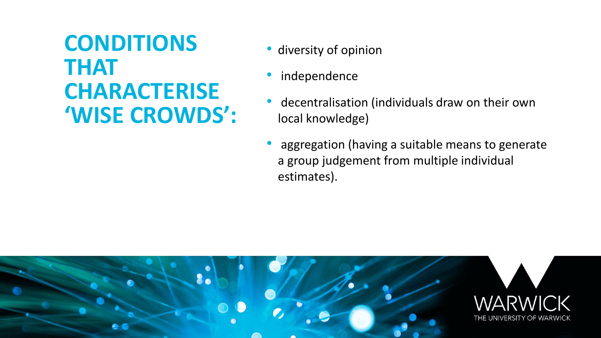# **CONDITIONS THAT CHARACTERISE 'WISE CROWDS':**

- diversity of opinion
- independence
- decentralisation (individuals draw on their own local knowledge)
- aggregation (having a suitable means to generate a group judgement from multiple individual estimates).

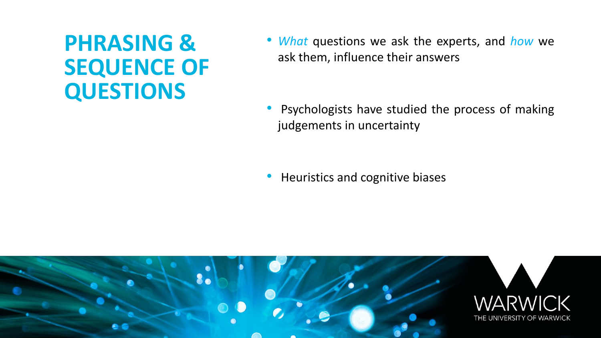# **PHRASING & SEQUENCE OF QUESTIONS**

• *What* questions we ask the experts, and *how* we ask them, influence their answers

• Psychologists have studied the process of making judgements in uncertainty

• Heuristics and cognitive biases

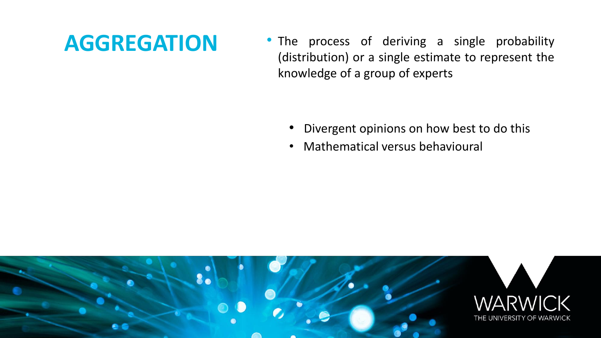### **AGGREGATION**

• The process of deriving a single probability (distribution) or a single estimate to represent the knowledge of a group of experts

- Divergent opinions on how best to do this
- Mathematical versus behavioural

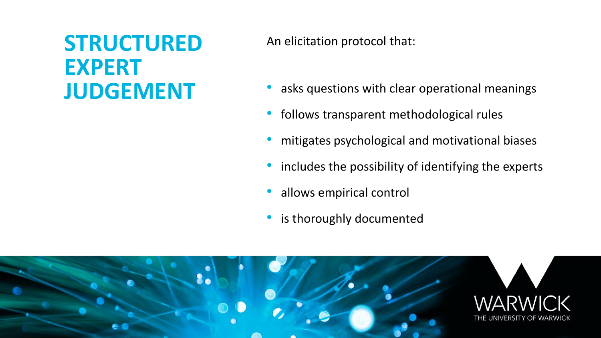# **STRUCTURED EXPERT JUDGEMENT**

An elicitation protocol that:

- asks questions with clear operational meanings
- follows transparent methodological rules
- mitigates psychological and motivational biases
- includes the possibility of identifying the experts
- allows empirical control
- is thoroughly documented

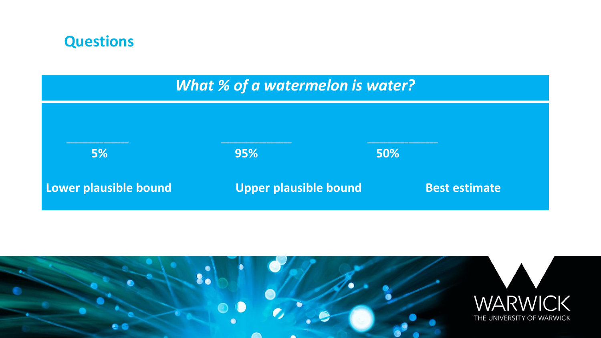#### **Questions**

#### *What % of a watermelon is water?*



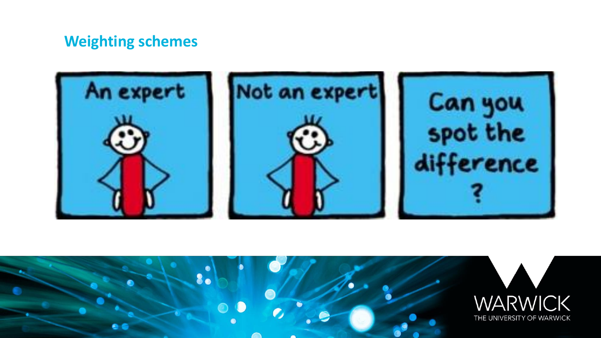#### **Weighting schemes**



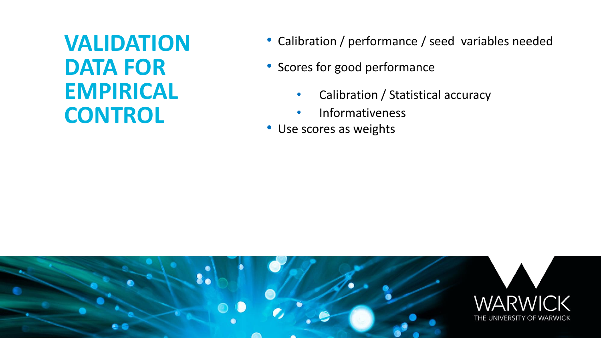**VALIDATION DATA FOR EMPIRICAL CONTROL** 

- Calibration / performance / seed variables needed
- Scores for good performance
	- Calibration / Statistical accuracy
	- Informativeness
- Use scores as weights

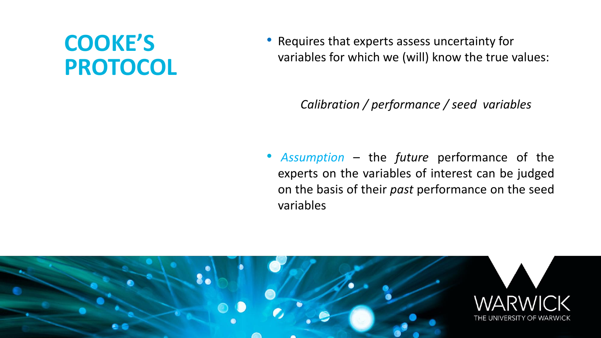# **COOKE'S PROTOCOL**

• Requires that experts assess uncertainty for variables for which we (will) know the true values:

*Calibration / performance / seed variables*

• *Assumption* – the *future* performance of the experts on the variables of interest can be judged on the basis of their *past* performance on the seed variables

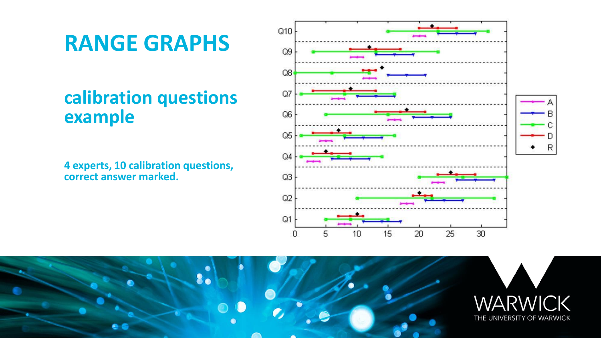# **RANGE GRAPHS**

#### **calibration questions example**

**4 experts, 10 calibration questions, correct answer marked.**



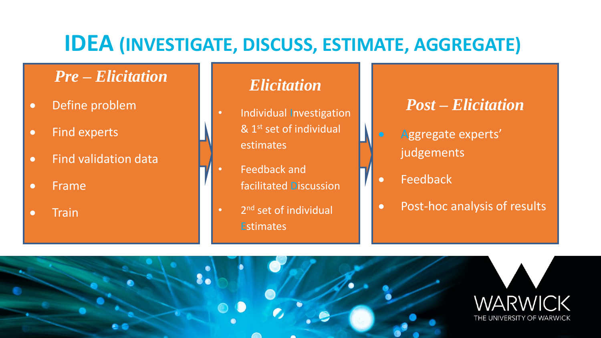### **IDEA (INVESTIGATE, DISCUSS, ESTIMATE, AGGREGATE)**

#### *Pre – Elicitation*

- Define problem
- Find experts
- Find validation data
- Frame
- Train

#### *Elicitation*

- Individual Investigation  $& 1<sup>st</sup>$  set of individual estimates
- Feedback and facilitated Discussion
- 2<sup>nd</sup> set of individual **Estimates**

#### *Post – Elicitation*

- Aggregate experts' judgements
- **Feedback**
- Post-hoc analysis of results

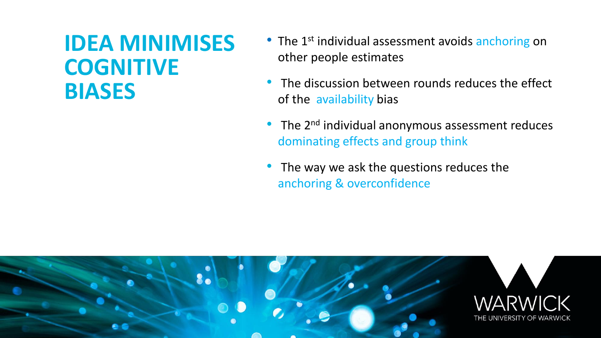### **IDEA MINIMISES COGNITIVE BIASES**

- The 1<sup>st</sup> individual assessment avoids anchoring on other people estimates
- The discussion between rounds reduces the effect of the availability bias
- The  $2^{nd}$  individual anonymous assessment reduces dominating effects and group think
- The way we ask the questions reduces the anchoring & overconfidence

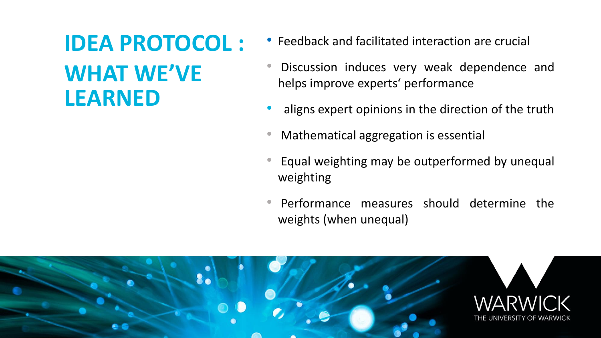# **IDEA PROTOCOL :**

# **WHAT WE'VE LEARNED**

- Feedback and facilitated interaction are crucial
- Discussion induces very weak dependence and helps improve experts' performance
- aligns expert opinions in the direction of the truth
- Mathematical aggregation is essential
- Equal weighting may be outperformed by unequal weighting
- Performance measures should determine the weights (when unequal)